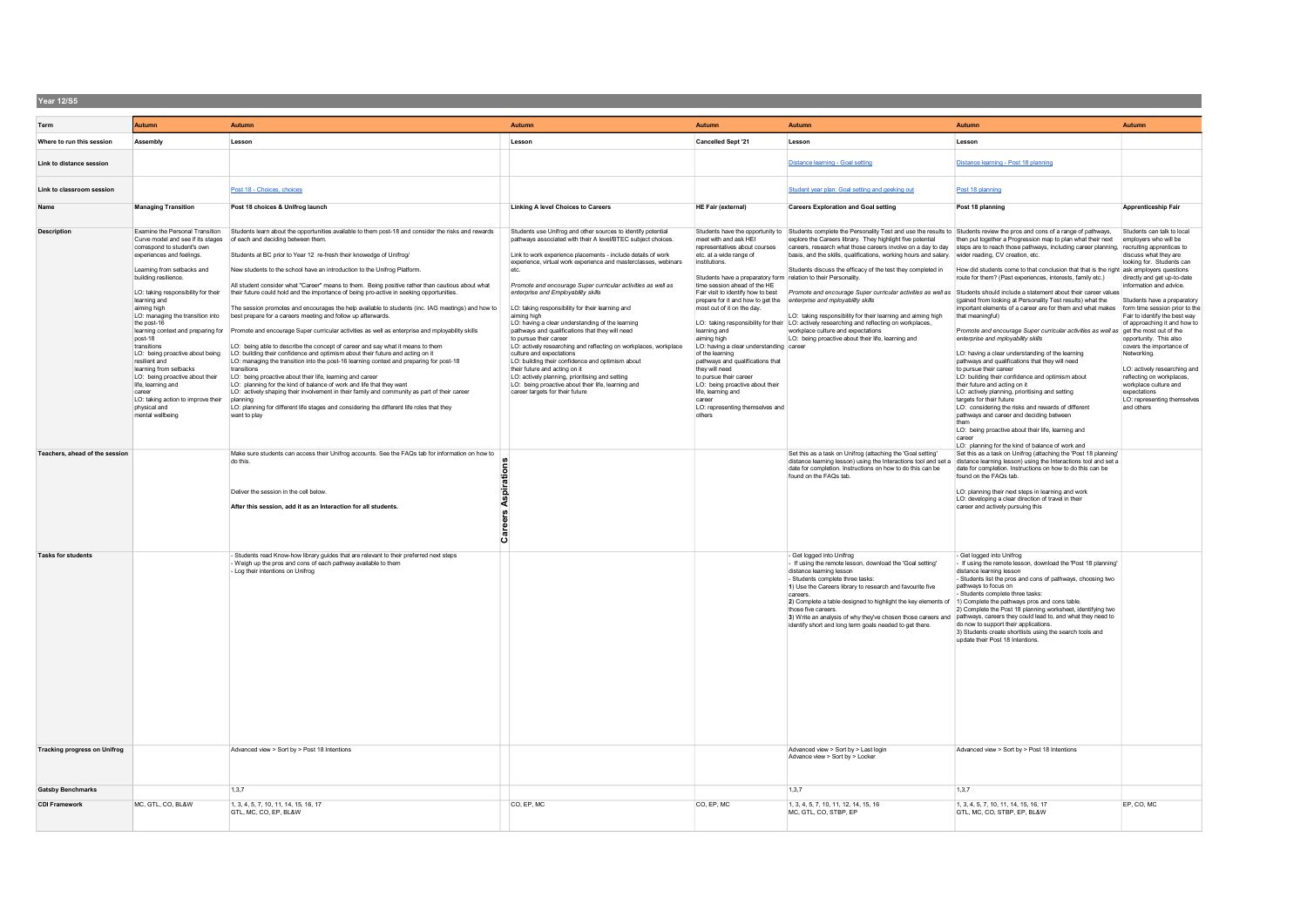| Year 12/S5                          |                                                                                                                                                                                                                                                                                                                                                                                                                                                                                                                                                                      |                                                                                                                                                                                                                                                                                                                                                                                                                                                                                                                                                                                                                                                                                                                                                                                                                                                                                                                                                                                                                                                                                                                                                                                                                                                                                                                                                                                                                                                    |                                                                                                                                                                                                                                                                                                                                                                                                                                                                                                                                                                                                                                                                                                                                                                                                                                                                                                             |                                                                                                                                                                                                                                                                                                                                                                                                                                                                                                                                                                                                           |                                                                                                                                                                                                                                                                                                                                                                                                                                                                                                                                                                                                                                                                                            |                                                                                                                                                                                                                                                                                                                                                                                                                                                                                                                                                                                                                                                                                                                                                                                                                                                                                                                                                                                                                                                                                                                                                                                                                                                                                      |                                                                                                                                                                                                                                                                                                                                                                                                                                                                                             |
|-------------------------------------|----------------------------------------------------------------------------------------------------------------------------------------------------------------------------------------------------------------------------------------------------------------------------------------------------------------------------------------------------------------------------------------------------------------------------------------------------------------------------------------------------------------------------------------------------------------------|----------------------------------------------------------------------------------------------------------------------------------------------------------------------------------------------------------------------------------------------------------------------------------------------------------------------------------------------------------------------------------------------------------------------------------------------------------------------------------------------------------------------------------------------------------------------------------------------------------------------------------------------------------------------------------------------------------------------------------------------------------------------------------------------------------------------------------------------------------------------------------------------------------------------------------------------------------------------------------------------------------------------------------------------------------------------------------------------------------------------------------------------------------------------------------------------------------------------------------------------------------------------------------------------------------------------------------------------------------------------------------------------------------------------------------------------------|-------------------------------------------------------------------------------------------------------------------------------------------------------------------------------------------------------------------------------------------------------------------------------------------------------------------------------------------------------------------------------------------------------------------------------------------------------------------------------------------------------------------------------------------------------------------------------------------------------------------------------------------------------------------------------------------------------------------------------------------------------------------------------------------------------------------------------------------------------------------------------------------------------------|-----------------------------------------------------------------------------------------------------------------------------------------------------------------------------------------------------------------------------------------------------------------------------------------------------------------------------------------------------------------------------------------------------------------------------------------------------------------------------------------------------------------------------------------------------------------------------------------------------------|--------------------------------------------------------------------------------------------------------------------------------------------------------------------------------------------------------------------------------------------------------------------------------------------------------------------------------------------------------------------------------------------------------------------------------------------------------------------------------------------------------------------------------------------------------------------------------------------------------------------------------------------------------------------------------------------|--------------------------------------------------------------------------------------------------------------------------------------------------------------------------------------------------------------------------------------------------------------------------------------------------------------------------------------------------------------------------------------------------------------------------------------------------------------------------------------------------------------------------------------------------------------------------------------------------------------------------------------------------------------------------------------------------------------------------------------------------------------------------------------------------------------------------------------------------------------------------------------------------------------------------------------------------------------------------------------------------------------------------------------------------------------------------------------------------------------------------------------------------------------------------------------------------------------------------------------------------------------------------------------|---------------------------------------------------------------------------------------------------------------------------------------------------------------------------------------------------------------------------------------------------------------------------------------------------------------------------------------------------------------------------------------------------------------------------------------------------------------------------------------------|
| Term                                | <b>Autumn</b>                                                                                                                                                                                                                                                                                                                                                                                                                                                                                                                                                        | Autumn                                                                                                                                                                                                                                                                                                                                                                                                                                                                                                                                                                                                                                                                                                                                                                                                                                                                                                                                                                                                                                                                                                                                                                                                                                                                                                                                                                                                                                             | Autumn                                                                                                                                                                                                                                                                                                                                                                                                                                                                                                                                                                                                                                                                                                                                                                                                                                                                                                      | Autumn                                                                                                                                                                                                                                                                                                                                                                                                                                                                                                                                                                                                    | <b>Autumn</b>                                                                                                                                                                                                                                                                                                                                                                                                                                                                                                                                                                                                                                                                              | Autumn                                                                                                                                                                                                                                                                                                                                                                                                                                                                                                                                                                                                                                                                                                                                                                                                                                                                                                                                                                                                                                                                                                                                                                                                                                                                               | <b>Autumn</b>                                                                                                                                                                                                                                                                                                                                                                                                                                                                               |
| Where to run this session           | Assembly                                                                                                                                                                                                                                                                                                                                                                                                                                                                                                                                                             | Lesson                                                                                                                                                                                                                                                                                                                                                                                                                                                                                                                                                                                                                                                                                                                                                                                                                                                                                                                                                                                                                                                                                                                                                                                                                                                                                                                                                                                                                                             | Lesson                                                                                                                                                                                                                                                                                                                                                                                                                                                                                                                                                                                                                                                                                                                                                                                                                                                                                                      | <b>Cancelled Sept '21</b>                                                                                                                                                                                                                                                                                                                                                                                                                                                                                                                                                                                 | Lesson                                                                                                                                                                                                                                                                                                                                                                                                                                                                                                                                                                                                                                                                                     | Lesson                                                                                                                                                                                                                                                                                                                                                                                                                                                                                                                                                                                                                                                                                                                                                                                                                                                                                                                                                                                                                                                                                                                                                                                                                                                                               |                                                                                                                                                                                                                                                                                                                                                                                                                                                                                             |
| Link to distance session            |                                                                                                                                                                                                                                                                                                                                                                                                                                                                                                                                                                      |                                                                                                                                                                                                                                                                                                                                                                                                                                                                                                                                                                                                                                                                                                                                                                                                                                                                                                                                                                                                                                                                                                                                                                                                                                                                                                                                                                                                                                                    |                                                                                                                                                                                                                                                                                                                                                                                                                                                                                                                                                                                                                                                                                                                                                                                                                                                                                                             |                                                                                                                                                                                                                                                                                                                                                                                                                                                                                                                                                                                                           | Distance learning - Goal setting                                                                                                                                                                                                                                                                                                                                                                                                                                                                                                                                                                                                                                                           | Distance learning - Post 18 planning                                                                                                                                                                                                                                                                                                                                                                                                                                                                                                                                                                                                                                                                                                                                                                                                                                                                                                                                                                                                                                                                                                                                                                                                                                                 |                                                                                                                                                                                                                                                                                                                                                                                                                                                                                             |
| Link to classroom session           |                                                                                                                                                                                                                                                                                                                                                                                                                                                                                                                                                                      | Post 18 - Choices, choices                                                                                                                                                                                                                                                                                                                                                                                                                                                                                                                                                                                                                                                                                                                                                                                                                                                                                                                                                                                                                                                                                                                                                                                                                                                                                                                                                                                                                         |                                                                                                                                                                                                                                                                                                                                                                                                                                                                                                                                                                                                                                                                                                                                                                                                                                                                                                             |                                                                                                                                                                                                                                                                                                                                                                                                                                                                                                                                                                                                           | Student year plan: Goal setting and geeking out                                                                                                                                                                                                                                                                                                                                                                                                                                                                                                                                                                                                                                            | Post 18 planning                                                                                                                                                                                                                                                                                                                                                                                                                                                                                                                                                                                                                                                                                                                                                                                                                                                                                                                                                                                                                                                                                                                                                                                                                                                                     |                                                                                                                                                                                                                                                                                                                                                                                                                                                                                             |
| Name                                | <b>Managing Transition</b>                                                                                                                                                                                                                                                                                                                                                                                                                                                                                                                                           | Post 18 choices & Unifrog launch                                                                                                                                                                                                                                                                                                                                                                                                                                                                                                                                                                                                                                                                                                                                                                                                                                                                                                                                                                                                                                                                                                                                                                                                                                                                                                                                                                                                                   | <b>Linking A level Choices to Careers</b>                                                                                                                                                                                                                                                                                                                                                                                                                                                                                                                                                                                                                                                                                                                                                                                                                                                                   | <b>HE Fair (external)</b>                                                                                                                                                                                                                                                                                                                                                                                                                                                                                                                                                                                 | <b>Careers Exploration and Goal setting</b>                                                                                                                                                                                                                                                                                                                                                                                                                                                                                                                                                                                                                                                | Post 18 planning                                                                                                                                                                                                                                                                                                                                                                                                                                                                                                                                                                                                                                                                                                                                                                                                                                                                                                                                                                                                                                                                                                                                                                                                                                                                     | Apprenticeship Fair                                                                                                                                                                                                                                                                                                                                                                                                                                                                         |
| <b>Description</b>                  | Examine the Personal Transition<br>Curve model and see if its stages<br>correspond to student's own<br>experiences and feelings.<br>Learning from setbacks and<br>building resilience.<br>LO: taking responsibility for their<br>learning and<br>aiming high<br>LO: managing the transition into<br>the post-16<br>post-18<br>transitions<br>LO: being proactive about being<br>resilient and<br>learning from setbacks<br>LO: being proactive about their<br>life, learning and<br>career<br>LO: taking action to improve their<br>physical and<br>mental wellbeing | Students learn about the opportunities available to them post-18 and consider the risks and rewards<br>of each and deciding between them<br>Students at BC prior to Year 12 re-fresh their knowedge of Unifrog/<br>New students to the school have an introduction to the Unifrog Platform.<br>All student consider what "Career" means to them. Being positive rather than cautious about what<br>their future could hold and the importance of being pro-active in seeking opportunities.<br>The session promotes and encourages the help available to students (inc. IAG meetings) and how to<br>best prepare for a careers meeting and follow up afterwards.<br>learning context and preparing for Promote and encourage Super curricular activities as well as enterprise and mployability skills<br>LO: being able to describe the concept of career and say what it means to them<br>LO: building their confidence and optimism about their future and acting on it<br>LO: managing the transition into the post-16 learning context and preparing for post-18<br>transitions<br>LO: being proactive about their life, learning and career<br>LO: planning for the kind of balance of work and life that they want<br>LO: actively shaping their involvement in their family and community as part of their career<br>planning<br>LO: planning for different life stages and considering the different life roles that they<br>want to play | Students use Unifrog and other sources to identify potential<br>pathways associated with their A level/BTEC subject choices.<br>I ink to work experience placements - include details of work<br>experience, virtual work experience and masterclasses, webinars<br>Promote and encourage Super curricular activities as well as<br>enterprise and Employability skills<br>LO: taking responsibility for their learning and<br>aiming high<br>LO: having a clear understanding of the learning<br>pathways and qualifications that they will need<br>to pursue their caree<br>LO: actively researching and reflecting on workplaces, workplace<br>culture and expectations<br>LO: building their confidence and optimism about<br>their future and acting on it<br>LO: actively planning, prioritising and setting<br>LO: being proactive about their life, learning and<br>career targets for their future | meet with and ask HEI<br>representatives about courses<br>etc. at a wide range of<br>institutions<br>Students have a preparatory form relation to their Personality.<br>time session ahead of the HE<br>Fair visit to identify how to best<br>prepare for it and how to get the<br>most out of it on the day<br>learning and<br>aiming high<br>LO: having a clear understanding career<br>of the learning<br>pathways and qualifications that<br>they will need<br>to pursue their career<br>LO: being proactive about their<br>life, learning and<br>career<br>LO: representing themselves and<br>others | Students have the opportunity to Students complete the Personality Test and use the results to Students review the pros and cons of a range of pathways,<br>explore the Careers library. They highlight five potential<br>basis, and the skills, qualifications, working hours and salary. wider reading, CV creation, etc.<br>Students discuss the efficacy of the test they completed in<br>enterprise and mployability skills<br>LO: taking responsibility for their learning and aiming high<br>LO: taking responsibility for their LO: actively researching and reflecting on workplaces,<br>workplace culture and expectations<br>LO: being proactive about their life, learning and | then put together a Progression map to plan what their next<br>careers, research what those careers involve on a day to day steps are to reach those pathways, including career planning, recruiting apprentices to<br>How did students come to that conclusion that that is the right ask employers questions<br>route for them? (Past experiences, interests, family etc.)<br>Promote and encourage Super curricular activities as well as Students should include a statement about their career values<br>(gained from looking at Personality Test results) what the<br>important elements of a career are for them and what makes form time session prior to the<br>that meaningful)<br>Promote and encourage Super curricular activities as well as get the most out of the<br>enterprise and mployability skills<br>LO: having a clear understanding of the learning<br>pathways and qualifications that they will need<br>to pursue their career<br>LO: building their confidence and optimism about<br>their future and acting on it<br>LO: actively planning, prioritising and setting<br>targets for their future<br>LO: considering the risks and rewards of different<br>pathways and career and deciding between<br>LO: being proactive about their life, learning and | Students can talk to local<br>employers who will be<br>discuss what they are<br>looking for. Students can<br>directly and get up-to-date<br>information and advice.<br>Students have a preparatory<br>Fair to identify the best way<br>of approaching it and how to<br>opportunity. This also<br>covers the importance of<br>Networking.<br>LO: actively researching and<br>reflecting on workplaces,<br>workplace culture and<br>expectations<br>LO: representing themselves<br>and others |
|                                     |                                                                                                                                                                                                                                                                                                                                                                                                                                                                                                                                                                      |                                                                                                                                                                                                                                                                                                                                                                                                                                                                                                                                                                                                                                                                                                                                                                                                                                                                                                                                                                                                                                                                                                                                                                                                                                                                                                                                                                                                                                                    |                                                                                                                                                                                                                                                                                                                                                                                                                                                                                                                                                                                                                                                                                                                                                                                                                                                                                                             |                                                                                                                                                                                                                                                                                                                                                                                                                                                                                                                                                                                                           |                                                                                                                                                                                                                                                                                                                                                                                                                                                                                                                                                                                                                                                                                            | career<br>LO: planning for the kind of balance of work and                                                                                                                                                                                                                                                                                                                                                                                                                                                                                                                                                                                                                                                                                                                                                                                                                                                                                                                                                                                                                                                                                                                                                                                                                           |                                                                                                                                                                                                                                                                                                                                                                                                                                                                                             |
| Teachers, ahead of the session      |                                                                                                                                                                                                                                                                                                                                                                                                                                                                                                                                                                      | Make sure students can access their Unifrog accounts. See the FAQs tab for information on how to<br>do this.<br>Deliver the session in the cell below.<br>After this session, add it as an Interaction for all students                                                                                                                                                                                                                                                                                                                                                                                                                                                                                                                                                                                                                                                                                                                                                                                                                                                                                                                                                                                                                                                                                                                                                                                                                            | Aspirations<br>eers<br>င်္လ                                                                                                                                                                                                                                                                                                                                                                                                                                                                                                                                                                                                                                                                                                                                                                                                                                                                                 |                                                                                                                                                                                                                                                                                                                                                                                                                                                                                                                                                                                                           | Set this as a task on Unifrog (attaching the 'Goal setting'<br>date for completion. Instructions on how to do this can be<br>found on the FAQs tab.                                                                                                                                                                                                                                                                                                                                                                                                                                                                                                                                        | Set this as a task on Unifrog (attaching the 'Post 18 planning'<br>distance learning lesson) using the Interactions tool and set a distance learning lesson) using the Interactions tool and set a<br>date for completion. Instructions on how to do this can be<br>found on the FAQs tab.<br>LO: planning their next steps in learning and work<br>LO: developing a clear direction of travel in their<br>career and actively pursuing this                                                                                                                                                                                                                                                                                                                                                                                                                                                                                                                                                                                                                                                                                                                                                                                                                                         |                                                                                                                                                                                                                                                                                                                                                                                                                                                                                             |
| <b>Tasks for students</b>           |                                                                                                                                                                                                                                                                                                                                                                                                                                                                                                                                                                      | - Students read Know-how library guides that are relevant to their preferred next steps<br>- Weigh up the pros and cons of each pathway available to them<br>- Log their intentions on Unifrog                                                                                                                                                                                                                                                                                                                                                                                                                                                                                                                                                                                                                                                                                                                                                                                                                                                                                                                                                                                                                                                                                                                                                                                                                                                     |                                                                                                                                                                                                                                                                                                                                                                                                                                                                                                                                                                                                                                                                                                                                                                                                                                                                                                             |                                                                                                                                                                                                                                                                                                                                                                                                                                                                                                                                                                                                           | - Get logged into Unifrog<br>- If using the remote lesson, download the 'Goal setting'<br>distance learning lesson<br>- Students complete three tasks:<br>1) Use the Careers library to research and favourite five<br>careers<br>2) Complete a table designed to highlight the key elements of 1) Complete the pathways pros and cons table.<br>those five careers.<br>3) Write an analysis of why they've chosen those careers and pathways, careers they could lead to, and what they need to<br>identify short and long term goals needed to get there.                                                                                                                                | - Get logged into Unifrog<br>- If using the remote lesson, download the 'Post 18 planning'<br>distance learning lesson<br>- Students list the pros and cons of pathways, choosing two<br>pathways to focus on<br>Students complete three tasks:<br>2) Complete the Post 18 planning worksheet, identifying two<br>do now to support their applications.<br>3) Students create shortlists using the search tools and<br>update their Post 18 Intentions.                                                                                                                                                                                                                                                                                                                                                                                                                                                                                                                                                                                                                                                                                                                                                                                                                              |                                                                                                                                                                                                                                                                                                                                                                                                                                                                                             |
| <b>Tracking progress on Unifrog</b> |                                                                                                                                                                                                                                                                                                                                                                                                                                                                                                                                                                      | Advanced view > Sort by > Post 18 Intentions                                                                                                                                                                                                                                                                                                                                                                                                                                                                                                                                                                                                                                                                                                                                                                                                                                                                                                                                                                                                                                                                                                                                                                                                                                                                                                                                                                                                       |                                                                                                                                                                                                                                                                                                                                                                                                                                                                                                                                                                                                                                                                                                                                                                                                                                                                                                             |                                                                                                                                                                                                                                                                                                                                                                                                                                                                                                                                                                                                           | Advanced view > Sort by > Last login<br>Advance view > Sort by > Locker                                                                                                                                                                                                                                                                                                                                                                                                                                                                                                                                                                                                                    | Advanced view > Sort by > Post 18 Intentions                                                                                                                                                                                                                                                                                                                                                                                                                                                                                                                                                                                                                                                                                                                                                                                                                                                                                                                                                                                                                                                                                                                                                                                                                                         |                                                                                                                                                                                                                                                                                                                                                                                                                                                                                             |
| <b>Gatsby Benchmarks</b>            |                                                                                                                                                                                                                                                                                                                                                                                                                                                                                                                                                                      | 137                                                                                                                                                                                                                                                                                                                                                                                                                                                                                                                                                                                                                                                                                                                                                                                                                                                                                                                                                                                                                                                                                                                                                                                                                                                                                                                                                                                                                                                |                                                                                                                                                                                                                                                                                                                                                                                                                                                                                                                                                                                                                                                                                                                                                                                                                                                                                                             |                                                                                                                                                                                                                                                                                                                                                                                                                                                                                                                                                                                                           | 137                                                                                                                                                                                                                                                                                                                                                                                                                                                                                                                                                                                                                                                                                        | 137                                                                                                                                                                                                                                                                                                                                                                                                                                                                                                                                                                                                                                                                                                                                                                                                                                                                                                                                                                                                                                                                                                                                                                                                                                                                                  |                                                                                                                                                                                                                                                                                                                                                                                                                                                                                             |
| <b>CDI Framework</b>                | MC, GTL, CO, BL&W                                                                                                                                                                                                                                                                                                                                                                                                                                                                                                                                                    | 1, 3, 4, 5, 7, 10, 11, 14, 15, 16, 17                                                                                                                                                                                                                                                                                                                                                                                                                                                                                                                                                                                                                                                                                                                                                                                                                                                                                                                                                                                                                                                                                                                                                                                                                                                                                                                                                                                                              | CO, EP, MC                                                                                                                                                                                                                                                                                                                                                                                                                                                                                                                                                                                                                                                                                                                                                                                                                                                                                                  | CO, EP, MC                                                                                                                                                                                                                                                                                                                                                                                                                                                                                                                                                                                                | 1, 3, 4, 5, 7, 10, 11, 12, 14, 15, 16                                                                                                                                                                                                                                                                                                                                                                                                                                                                                                                                                                                                                                                      | 1, 3, 4, 5, 7, 10, 11, 14, 15, 16, 17                                                                                                                                                                                                                                                                                                                                                                                                                                                                                                                                                                                                                                                                                                                                                                                                                                                                                                                                                                                                                                                                                                                                                                                                                                                | EP, CO, MC                                                                                                                                                                                                                                                                                                                                                                                                                                                                                  |
|                                     |                                                                                                                                                                                                                                                                                                                                                                                                                                                                                                                                                                      | GTL, MC, CO, EP, BL&W                                                                                                                                                                                                                                                                                                                                                                                                                                                                                                                                                                                                                                                                                                                                                                                                                                                                                                                                                                                                                                                                                                                                                                                                                                                                                                                                                                                                                              |                                                                                                                                                                                                                                                                                                                                                                                                                                                                                                                                                                                                                                                                                                                                                                                                                                                                                                             |                                                                                                                                                                                                                                                                                                                                                                                                                                                                                                                                                                                                           | MC, GTL, CO, STBP, EP                                                                                                                                                                                                                                                                                                                                                                                                                                                                                                                                                                                                                                                                      | GTL MC CO STBP FP BL&W                                                                                                                                                                                                                                                                                                                                                                                                                                                                                                                                                                                                                                                                                                                                                                                                                                                                                                                                                                                                                                                                                                                                                                                                                                                               |                                                                                                                                                                                                                                                                                                                                                                                                                                                                                             |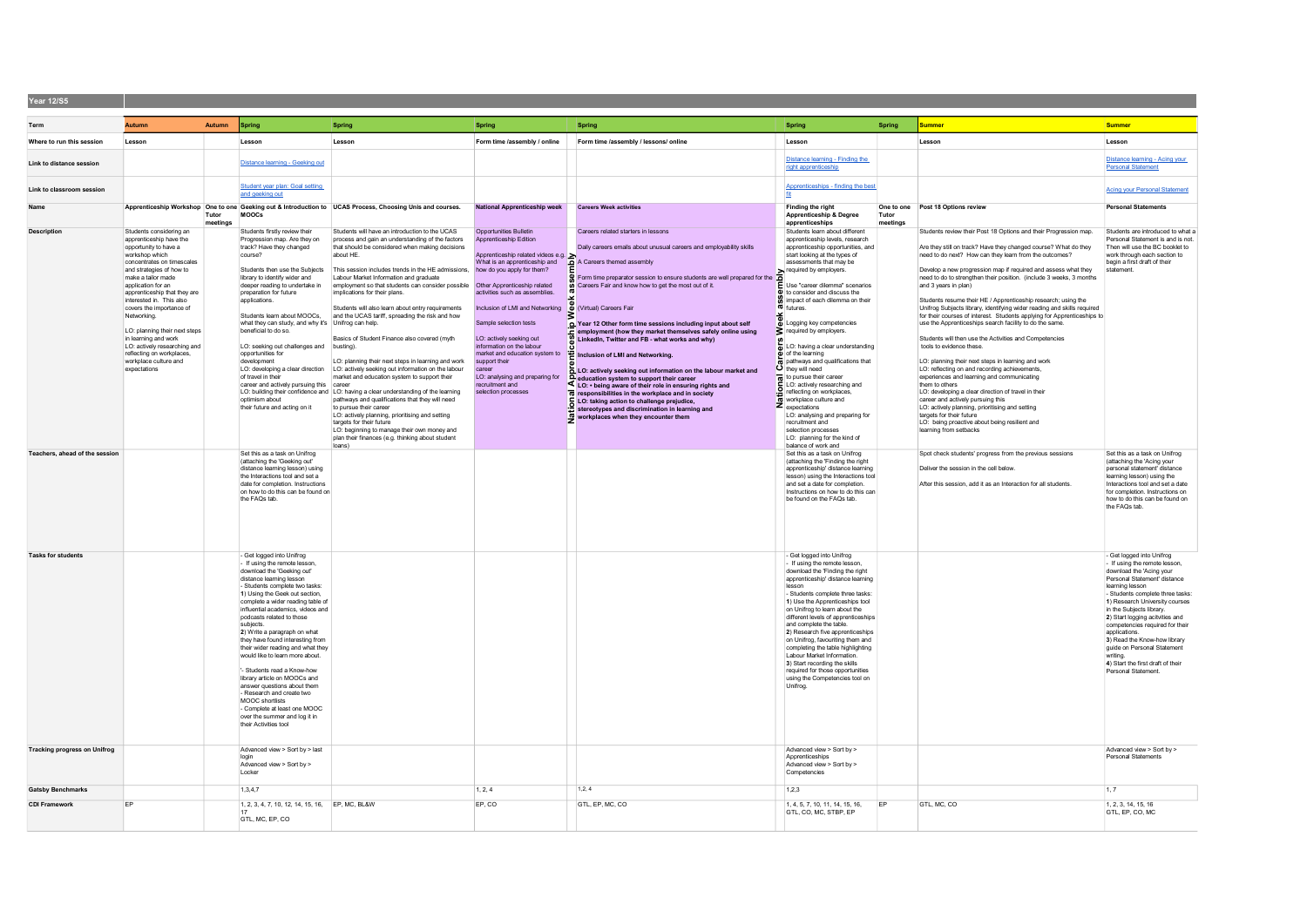| Year 12/S5                          |                                                                                                                                                                                                                                                                                                                                                                                                                                                                          |                   |                                                                                                                                                                                                                                                                                                                                                                                                                                                                                                                                                                                                                                                                                                 |                                                                                                                                                                                                                                                                                                                                                                                                                                                                                                                                                                                                                                                                                                                                                                                                                                                                                                                                                                                                                                  |                                                                                                                                                                                                                                                                                                                                                                                                                                                                                                                  |                                                                                                                                                                                                                                                                                                                                                                                                                                                                                                                                                                                                                                                                                                                                                                                                             |                                                                                                                                                                                                                                                                                                                                                                                                                                                                                                                                                                                                                                                                                                                                                                 |                   |                                                                                                                                                                                                                                                                                                                                                                                                                                                                                                                                                                                                                                                                                                                                                                                                                                                                                                                                                                                                                                                                                                                                                                     |                                                                                                                                                                                                                                                                                                                                                                                                                                                                          |
|-------------------------------------|--------------------------------------------------------------------------------------------------------------------------------------------------------------------------------------------------------------------------------------------------------------------------------------------------------------------------------------------------------------------------------------------------------------------------------------------------------------------------|-------------------|-------------------------------------------------------------------------------------------------------------------------------------------------------------------------------------------------------------------------------------------------------------------------------------------------------------------------------------------------------------------------------------------------------------------------------------------------------------------------------------------------------------------------------------------------------------------------------------------------------------------------------------------------------------------------------------------------|----------------------------------------------------------------------------------------------------------------------------------------------------------------------------------------------------------------------------------------------------------------------------------------------------------------------------------------------------------------------------------------------------------------------------------------------------------------------------------------------------------------------------------------------------------------------------------------------------------------------------------------------------------------------------------------------------------------------------------------------------------------------------------------------------------------------------------------------------------------------------------------------------------------------------------------------------------------------------------------------------------------------------------|------------------------------------------------------------------------------------------------------------------------------------------------------------------------------------------------------------------------------------------------------------------------------------------------------------------------------------------------------------------------------------------------------------------------------------------------------------------------------------------------------------------|-------------------------------------------------------------------------------------------------------------------------------------------------------------------------------------------------------------------------------------------------------------------------------------------------------------------------------------------------------------------------------------------------------------------------------------------------------------------------------------------------------------------------------------------------------------------------------------------------------------------------------------------------------------------------------------------------------------------------------------------------------------------------------------------------------------|-----------------------------------------------------------------------------------------------------------------------------------------------------------------------------------------------------------------------------------------------------------------------------------------------------------------------------------------------------------------------------------------------------------------------------------------------------------------------------------------------------------------------------------------------------------------------------------------------------------------------------------------------------------------------------------------------------------------------------------------------------------------|-------------------|---------------------------------------------------------------------------------------------------------------------------------------------------------------------------------------------------------------------------------------------------------------------------------------------------------------------------------------------------------------------------------------------------------------------------------------------------------------------------------------------------------------------------------------------------------------------------------------------------------------------------------------------------------------------------------------------------------------------------------------------------------------------------------------------------------------------------------------------------------------------------------------------------------------------------------------------------------------------------------------------------------------------------------------------------------------------------------------------------------------------------------------------------------------------|--------------------------------------------------------------------------------------------------------------------------------------------------------------------------------------------------------------------------------------------------------------------------------------------------------------------------------------------------------------------------------------------------------------------------------------------------------------------------|
| Term                                | Autumn                                                                                                                                                                                                                                                                                                                                                                                                                                                                   | Autumn            | Spring                                                                                                                                                                                                                                                                                                                                                                                                                                                                                                                                                                                                                                                                                          | Spring                                                                                                                                                                                                                                                                                                                                                                                                                                                                                                                                                                                                                                                                                                                                                                                                                                                                                                                                                                                                                           | Spring                                                                                                                                                                                                                                                                                                                                                                                                                                                                                                           | Spring                                                                                                                                                                                                                                                                                                                                                                                                                                                                                                                                                                                                                                                                                                                                                                                                      | Spring                                                                                                                                                                                                                                                                                                                                                                                                                                                                                                                                                                                                                                                                                                                                                          | Spring            | Summer                                                                                                                                                                                                                                                                                                                                                                                                                                                                                                                                                                                                                                                                                                                                                                                                                                                                                                                                                                                                                                                                                                                                                              | Summer                                                                                                                                                                                                                                                                                                                                                                                                                                                                   |
|                                     |                                                                                                                                                                                                                                                                                                                                                                                                                                                                          |                   |                                                                                                                                                                                                                                                                                                                                                                                                                                                                                                                                                                                                                                                                                                 |                                                                                                                                                                                                                                                                                                                                                                                                                                                                                                                                                                                                                                                                                                                                                                                                                                                                                                                                                                                                                                  |                                                                                                                                                                                                                                                                                                                                                                                                                                                                                                                  |                                                                                                                                                                                                                                                                                                                                                                                                                                                                                                                                                                                                                                                                                                                                                                                                             |                                                                                                                                                                                                                                                                                                                                                                                                                                                                                                                                                                                                                                                                                                                                                                 |                   |                                                                                                                                                                                                                                                                                                                                                                                                                                                                                                                                                                                                                                                                                                                                                                                                                                                                                                                                                                                                                                                                                                                                                                     |                                                                                                                                                                                                                                                                                                                                                                                                                                                                          |
| Where to run this session           | Lesson                                                                                                                                                                                                                                                                                                                                                                                                                                                                   |                   | Lesson                                                                                                                                                                                                                                                                                                                                                                                                                                                                                                                                                                                                                                                                                          | Lesson                                                                                                                                                                                                                                                                                                                                                                                                                                                                                                                                                                                                                                                                                                                                                                                                                                                                                                                                                                                                                           | Form time /assembly / online                                                                                                                                                                                                                                                                                                                                                                                                                                                                                     | Form time /assembly / lessons/ online                                                                                                                                                                                                                                                                                                                                                                                                                                                                                                                                                                                                                                                                                                                                                                       | Lesson                                                                                                                                                                                                                                                                                                                                                                                                                                                                                                                                                                                                                                                                                                                                                          |                   | Lesson                                                                                                                                                                                                                                                                                                                                                                                                                                                                                                                                                                                                                                                                                                                                                                                                                                                                                                                                                                                                                                                                                                                                                              | Lesson                                                                                                                                                                                                                                                                                                                                                                                                                                                                   |
| Link to distance session            |                                                                                                                                                                                                                                                                                                                                                                                                                                                                          |                   | Distance learning - Geeking out                                                                                                                                                                                                                                                                                                                                                                                                                                                                                                                                                                                                                                                                 |                                                                                                                                                                                                                                                                                                                                                                                                                                                                                                                                                                                                                                                                                                                                                                                                                                                                                                                                                                                                                                  |                                                                                                                                                                                                                                                                                                                                                                                                                                                                                                                  |                                                                                                                                                                                                                                                                                                                                                                                                                                                                                                                                                                                                                                                                                                                                                                                                             | Distance learning - Finding the<br>right apprenticeship                                                                                                                                                                                                                                                                                                                                                                                                                                                                                                                                                                                                                                                                                                         |                   |                                                                                                                                                                                                                                                                                                                                                                                                                                                                                                                                                                                                                                                                                                                                                                                                                                                                                                                                                                                                                                                                                                                                                                     | Distance learning - Acing your<br><b>Personal Statement</b>                                                                                                                                                                                                                                                                                                                                                                                                              |
| Link to classroom session           |                                                                                                                                                                                                                                                                                                                                                                                                                                                                          |                   | Student year plan: Goal setting<br>and geeking out                                                                                                                                                                                                                                                                                                                                                                                                                                                                                                                                                                                                                                              |                                                                                                                                                                                                                                                                                                                                                                                                                                                                                                                                                                                                                                                                                                                                                                                                                                                                                                                                                                                                                                  |                                                                                                                                                                                                                                                                                                                                                                                                                                                                                                                  |                                                                                                                                                                                                                                                                                                                                                                                                                                                                                                                                                                                                                                                                                                                                                                                                             | Apprenticeships - finding the best                                                                                                                                                                                                                                                                                                                                                                                                                                                                                                                                                                                                                                                                                                                              |                   |                                                                                                                                                                                                                                                                                                                                                                                                                                                                                                                                                                                                                                                                                                                                                                                                                                                                                                                                                                                                                                                                                                                                                                     | <b>Acing your Personal Statement</b>                                                                                                                                                                                                                                                                                                                                                                                                                                     |
| Name                                |                                                                                                                                                                                                                                                                                                                                                                                                                                                                          | Tutor<br>meetings | MOOCS                                                                                                                                                                                                                                                                                                                                                                                                                                                                                                                                                                                                                                                                                           | Apprenticeship Workshop One to one Geeking out & Introduction to UCAS Process, Choosing Unis and courses.                                                                                                                                                                                                                                                                                                                                                                                                                                                                                                                                                                                                                                                                                                                                                                                                                                                                                                                        | <b>National Apprenticeship week</b>                                                                                                                                                                                                                                                                                                                                                                                                                                                                              | <b>Careers Week activities</b>                                                                                                                                                                                                                                                                                                                                                                                                                                                                                                                                                                                                                                                                                                                                                                              | <b>Finding the right</b><br>Apprenticeship & Degree<br>apprenticeships                                                                                                                                                                                                                                                                                                                                                                                                                                                                                                                                                                                                                                                                                          | Tutor<br>meetings | One to one Post 18 Options review                                                                                                                                                                                                                                                                                                                                                                                                                                                                                                                                                                                                                                                                                                                                                                                                                                                                                                                                                                                                                                                                                                                                   | <b>Personal Statements</b>                                                                                                                                                                                                                                                                                                                                                                                                                                               |
| <b>Description</b>                  | Students considering an<br>apprenticeship have the<br>opportunity to have a<br>workshop which<br>concentrates on timescales<br>and strategies of how to<br>make a tailor made<br>application for an<br>apprenticeship that they are<br>interested in This also<br>covers the importance of<br>Networking.<br>LO: planning their next steps<br>in learning and work<br>LO: actively researching and<br>reflecting on workplaces,<br>workplace culture and<br>expectations |                   | Students firstly review their<br>Progression map. Are they on<br>track? Have they changed<br>course?<br>Students then use the Subjects<br>library to identify wider and<br>deeper reading to undertake in<br>preparation for future<br>applications<br>Students learn about MOOCs,<br>what they can study, and why it's Unifrog can help.<br>beneficial to do so.<br>LO: seeking out challenges and busting).<br>opportunities for<br>development<br>LO: developing a clear direction<br>of travel in their<br>career and actively pursuing this career<br>optimism about<br>their future and acting on it                                                                                      | Students will have an introduction to the UCAS<br>process and gain an understanding of the factors<br>that should be considered when making decisions<br>about HE.<br>This session includes trends in the HE admissions,<br>Labour Market Information and graduate<br>employment so that students can consider possible<br>implications for their plans.<br>Students will also learn about entry requirements<br>and the UCAS tariff, spreading the risk and how<br>Basics of Student Finance also covered (myth<br>LO: planning their next steps in learning and work<br>LO: actively seeking out information on the labour<br>market and education system to support their<br>LO: building their confidence and LO: having a clear understanding of the learning<br>pathways and qualifications that they will need<br>to pursue their caree<br>LO: actively planning, prioritising and setting<br>targets for their future<br>LO: beginning to manage their own money and<br>plan their finances (e.g. thinking about student | Opportunities Bulletin<br>Apprenticeship Edition<br>Apprenticeship related videos e.g.<br>What is an apprenticeship and<br>how do you apply for them?<br>Other Apprenticeship related<br>activities such as assemblies.<br>Inclusion of LMI and Networking 6 (Virtual) Careers Fair<br>Sample selection tests<br>LO: actively seeking out<br>information on the labour<br>market and education system to<br>support their<br>career<br>LO: analysing and preparing for<br>recruitment and<br>selection processes | Careers related starters in lessons<br>Daily careers emails about unusual careers and employability skills<br>A Careers themed assembly<br>Form time preparator session to ensure students are well prepared for the $\overline{\mathbf{B}}$ required by employers.<br>Year 12 Other form time sessions including input about self<br>employment (how they market themselves safely online using<br>Linkedin, Twitter and FB - what works and why)<br>Inclusion of LMI and Networking.<br>LO: actively seeking out information on the labour market and<br>LO: • being aware of their role in ensuring rights and<br>responsibilities in the workplace and in society<br>LO: taking action to challenge prejudice,<br>stereotypes and discrimination in learning and<br>workplaces when they encounter them | Students learn about different<br>apprenticeship levels, research<br>apprenticeship opportunities, and<br>start looking at the types of<br>assessments that may be<br>E Use "career dilemma" scenarios<br>$\Phi$ to consider and discuss the<br>impact of each dilemma on their<br>$\frac{1}{10}$ $\frac{1}{10}$ futures.<br>Logging key competencies<br>sequired by employers.<br>LO: having a clear understanding<br>$\bar{\mathbf{p}}$ of the learning<br>pathways and qualifications that<br>O they will need<br>to pursue their career<br>LO: actively researching and<br>reflecting on workplaces<br>workplace culture and<br>Z expectations<br>LO: analysing and preparing for<br>recruitment and<br>selection processes<br>LO: planning for the kind of |                   | Students review their Post 18 Options and their Progression map.<br>Are they still on track? Have they changed course? What do they<br>need to do next? How can they learn from the outcomes?<br>Develop a new progression map if required and assess what they<br>need to do to strengthen their position. (include 3 weeks, 3 months<br>and 3 years in plan)<br>Students resume their HE / Apprenticeship research; using the<br>Unifrog Subjects library, identifying wider reading and skills required<br>for their courses of interest. Students applying for Apprenticeships to<br>use the Apprenticeships search facility to do the same.<br>Students will then use the Activities and Competencies<br>tools to evidence these.<br>LO: planning their next steps in learning and work<br>LO: reflecting on and recording achievements,<br>experiences and learning and communicating<br>them to others<br>LO: developing a clear direction of travel in their<br>career and actively pursuing this<br>LO: actively planning, prioritising and setting<br>targets for their future<br>LO: being proactive about being resilient and<br>learning from setbacks | Students are introduced to what a<br>Personal Statement is and is not.<br>Then will use the BC booklet to<br>work through each section to<br>begin a first draft of their<br>statement.                                                                                                                                                                                                                                                                                  |
| Feachers, ahead of the session      |                                                                                                                                                                                                                                                                                                                                                                                                                                                                          |                   | Set this as a task on Unifrog<br>(attaching the 'Geeking out'<br>distance learning lesson) using<br>the Interactions tool and set a<br>date for completion. Instructions<br>on how to do this can be found on<br>the FAQs tab.                                                                                                                                                                                                                                                                                                                                                                                                                                                                  | loans)                                                                                                                                                                                                                                                                                                                                                                                                                                                                                                                                                                                                                                                                                                                                                                                                                                                                                                                                                                                                                           |                                                                                                                                                                                                                                                                                                                                                                                                                                                                                                                  |                                                                                                                                                                                                                                                                                                                                                                                                                                                                                                                                                                                                                                                                                                                                                                                                             | balance of work and<br>Set this as a task on Unifrog<br>(attaching the 'Finding the right<br>apprenticeship' distance learning<br>lesson) using the Interactions tool<br>and set a date for completion<br>Instructions on how to do this can<br>be found on the FAQs tab.                                                                                                                                                                                                                                                                                                                                                                                                                                                                                       |                   | Spot check students' progress from the previous sessions<br>Deliver the session in the cell below<br>After this session, add it as an Interaction for all students.                                                                                                                                                                                                                                                                                                                                                                                                                                                                                                                                                                                                                                                                                                                                                                                                                                                                                                                                                                                                 | Set this as a task on Unifrog<br>(attaching the 'Acing your<br>personal statement' distance<br>learning lesson) using the<br>Interactions tool and set a date<br>for completion. Instructions on<br>how to do this can be found on<br>the FAQs tab.                                                                                                                                                                                                                      |
| <b>Tasks for students</b>           |                                                                                                                                                                                                                                                                                                                                                                                                                                                                          |                   | - Get logged into Unifrog<br>- If using the remote lesson.<br>download the 'Geeking out'<br>distance learning lesson<br>- Students complete two tasks:<br>1) Using the Geek out section,<br>complete a wider reading table of<br>influential academics, videos and<br>podcasts related to those<br>subjects<br>2) Write a paragraph on what<br>they have found interesting from<br>their wider reading and what they<br>would like to learn more about.<br>'- Students read a Know-how<br>library article on MOOCs and<br>answer questions about them<br>- Research and create two<br>MOOC shortlists<br>- Complete at least one MOOC<br>over the summer and log it in<br>their Activities tool |                                                                                                                                                                                                                                                                                                                                                                                                                                                                                                                                                                                                                                                                                                                                                                                                                                                                                                                                                                                                                                  |                                                                                                                                                                                                                                                                                                                                                                                                                                                                                                                  |                                                                                                                                                                                                                                                                                                                                                                                                                                                                                                                                                                                                                                                                                                                                                                                                             | - Get logged into Unifrog<br>- If using the remote lesson.<br>download the 'Finding the right<br>apprenticeship' distance learning<br>lesson<br>- Students complete three tasks:<br>1) Use the Apprenticeships tool<br>on Unifrog to learn about the<br>different levels of apprenticeships<br>and complete the table.<br>2) Research five apprenticeships<br>on Unifrog, favouriting them and<br>completing the table highlighting<br>Labour Market Information.<br>3) Start recording the skills<br>required for those opportunities<br>using the Competencies tool on<br>Unifrog.                                                                                                                                                                            |                   |                                                                                                                                                                                                                                                                                                                                                                                                                                                                                                                                                                                                                                                                                                                                                                                                                                                                                                                                                                                                                                                                                                                                                                     | - Get logged into Unifrog<br>- If using the remote lesson.<br>download the 'Acing your<br>Personal Statement' distance<br>learning lesson<br>- Students complete three tasks:<br>1) Research University courses<br>in the Subjects library.<br>2) Start logging acityities and<br>competencies required for their<br>applications.<br>3) Read the Know-how library<br>quide on Personal Statement<br>writing.<br>4) Start the first draft of their<br>Personal Statement |
| <b>Tracking progress on Unifrog</b> |                                                                                                                                                                                                                                                                                                                                                                                                                                                                          |                   | Advanced view > Sort by > last<br>Advanced view > Sort by ><br>Locker                                                                                                                                                                                                                                                                                                                                                                                                                                                                                                                                                                                                                           |                                                                                                                                                                                                                                                                                                                                                                                                                                                                                                                                                                                                                                                                                                                                                                                                                                                                                                                                                                                                                                  |                                                                                                                                                                                                                                                                                                                                                                                                                                                                                                                  |                                                                                                                                                                                                                                                                                                                                                                                                                                                                                                                                                                                                                                                                                                                                                                                                             | Advanced view > Sort by ><br>Apprenticeships<br>Advanced view > Sort by ><br>Competencies                                                                                                                                                                                                                                                                                                                                                                                                                                                                                                                                                                                                                                                                       |                   |                                                                                                                                                                                                                                                                                                                                                                                                                                                                                                                                                                                                                                                                                                                                                                                                                                                                                                                                                                                                                                                                                                                                                                     | Advanced view > Sort by ><br><b>Personal Statements</b>                                                                                                                                                                                                                                                                                                                                                                                                                  |
| <b>Gatsby Benchmarks</b>            |                                                                                                                                                                                                                                                                                                                                                                                                                                                                          |                   | 1.3.4.7                                                                                                                                                                                                                                                                                                                                                                                                                                                                                                                                                                                                                                                                                         |                                                                                                                                                                                                                                                                                                                                                                                                                                                                                                                                                                                                                                                                                                                                                                                                                                                                                                                                                                                                                                  | 1, 2, 4                                                                                                                                                                                                                                                                                                                                                                                                                                                                                                          | 1, 2, 4                                                                                                                                                                                                                                                                                                                                                                                                                                                                                                                                                                                                                                                                                                                                                                                                     | 1,2,3                                                                                                                                                                                                                                                                                                                                                                                                                                                                                                                                                                                                                                                                                                                                                           |                   |                                                                                                                                                                                                                                                                                                                                                                                                                                                                                                                                                                                                                                                                                                                                                                                                                                                                                                                                                                                                                                                                                                                                                                     | 1.7                                                                                                                                                                                                                                                                                                                                                                                                                                                                      |
| <b>CDI Framework</b>                | EP                                                                                                                                                                                                                                                                                                                                                                                                                                                                       |                   | 1, 2, 3, 4, 7, 10, 12, 14, 15, 16, EP, MC, BL&W                                                                                                                                                                                                                                                                                                                                                                                                                                                                                                                                                                                                                                                 |                                                                                                                                                                                                                                                                                                                                                                                                                                                                                                                                                                                                                                                                                                                                                                                                                                                                                                                                                                                                                                  | EP, CO                                                                                                                                                                                                                                                                                                                                                                                                                                                                                                           | GTL, EP, MC, CO                                                                                                                                                                                                                                                                                                                                                                                                                                                                                                                                                                                                                                                                                                                                                                                             | 1, 4, 5, 7, 10, 11, 14, 15, 16,                                                                                                                                                                                                                                                                                                                                                                                                                                                                                                                                                                                                                                                                                                                                 | EP                | GTL, MC, CO                                                                                                                                                                                                                                                                                                                                                                                                                                                                                                                                                                                                                                                                                                                                                                                                                                                                                                                                                                                                                                                                                                                                                         | 1, 2, 3, 14, 15, 16                                                                                                                                                                                                                                                                                                                                                                                                                                                      |
|                                     |                                                                                                                                                                                                                                                                                                                                                                                                                                                                          |                   | 17<br>GTL, MC, EP, CO                                                                                                                                                                                                                                                                                                                                                                                                                                                                                                                                                                                                                                                                           |                                                                                                                                                                                                                                                                                                                                                                                                                                                                                                                                                                                                                                                                                                                                                                                                                                                                                                                                                                                                                                  |                                                                                                                                                                                                                                                                                                                                                                                                                                                                                                                  |                                                                                                                                                                                                                                                                                                                                                                                                                                                                                                                                                                                                                                                                                                                                                                                                             | GTL, CO, MC, STBP, EP                                                                                                                                                                                                                                                                                                                                                                                                                                                                                                                                                                                                                                                                                                                                           |                   |                                                                                                                                                                                                                                                                                                                                                                                                                                                                                                                                                                                                                                                                                                                                                                                                                                                                                                                                                                                                                                                                                                                                                                     | GTL. EP. CO. MC                                                                                                                                                                                                                                                                                                                                                                                                                                                          |